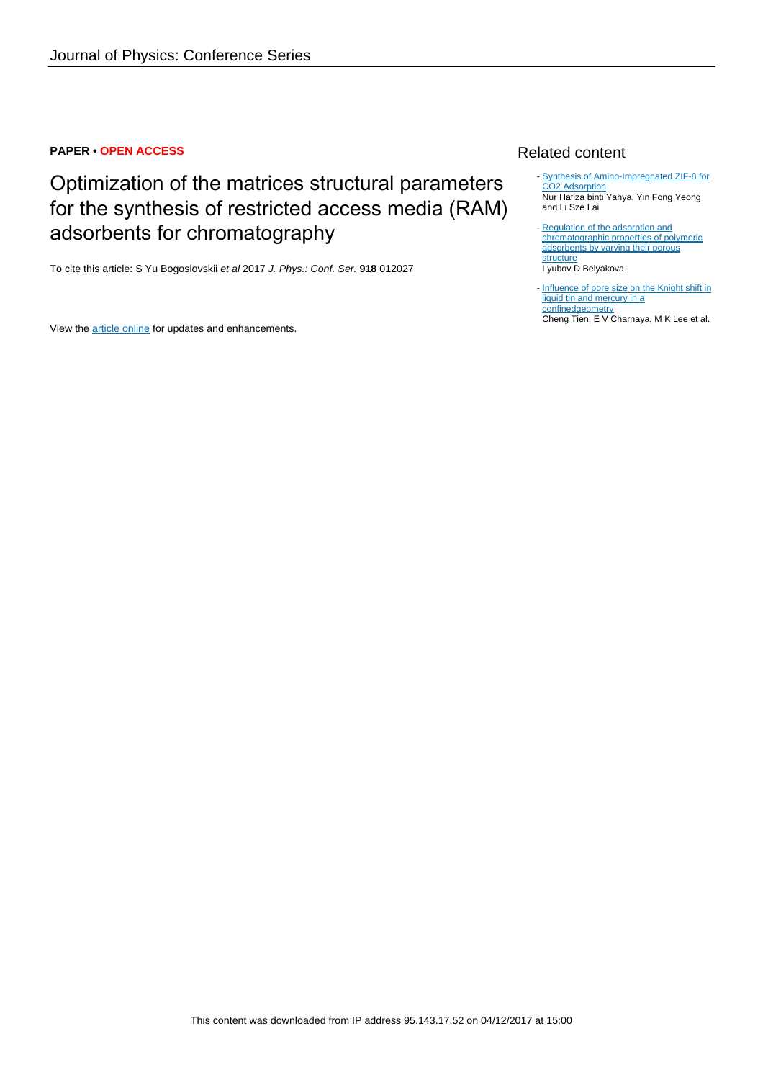#### **PAPER • OPEN ACCESS**

# Optimization of the matrices structural parameters for the synthesis of restricted access media (RAM) adsorbents for chromatography

To cite this article: S Yu Bogoslovskii et al 2017 J. Phys.: Conf. Ser. **918** 012027

View the [article online](https://doi.org/10.1088/1742-6596/918/1/012027) for updates and enhancements.

### Related content

- [Synthesis of Amino-Impregnated ZIF-8 for](http://iopscience.iop.org/article/10.1088/1757-899X/226/1/012164) [CO2 Adsorption](http://iopscience.iop.org/article/10.1088/1757-899X/226/1/012164) Nur Hafiza binti Yahya, Yin Fong Yeong and Li Sze Lai
- [Regulation of the adsorption and](http://iopscience.iop.org/article/10.1070/RC1991v060n02ABEH001039) [chromatographic properties of polymeric](http://iopscience.iop.org/article/10.1070/RC1991v060n02ABEH001039) [adsorbents by varying their porous](http://iopscience.iop.org/article/10.1070/RC1991v060n02ABEH001039) **[structure](http://iopscience.iop.org/article/10.1070/RC1991v060n02ABEH001039)** Lyubov D Belyakova
- [Influence of pore size on the Knight shift in](http://iopscience.iop.org/article/10.1088/0953-8984/19/10/106217) [liquid tin and mercury in a](http://iopscience.iop.org/article/10.1088/0953-8984/19/10/106217) [confinedgeometry](http://iopscience.iop.org/article/10.1088/0953-8984/19/10/106217)

Cheng Tien, E V Charnaya, M K Lee et al.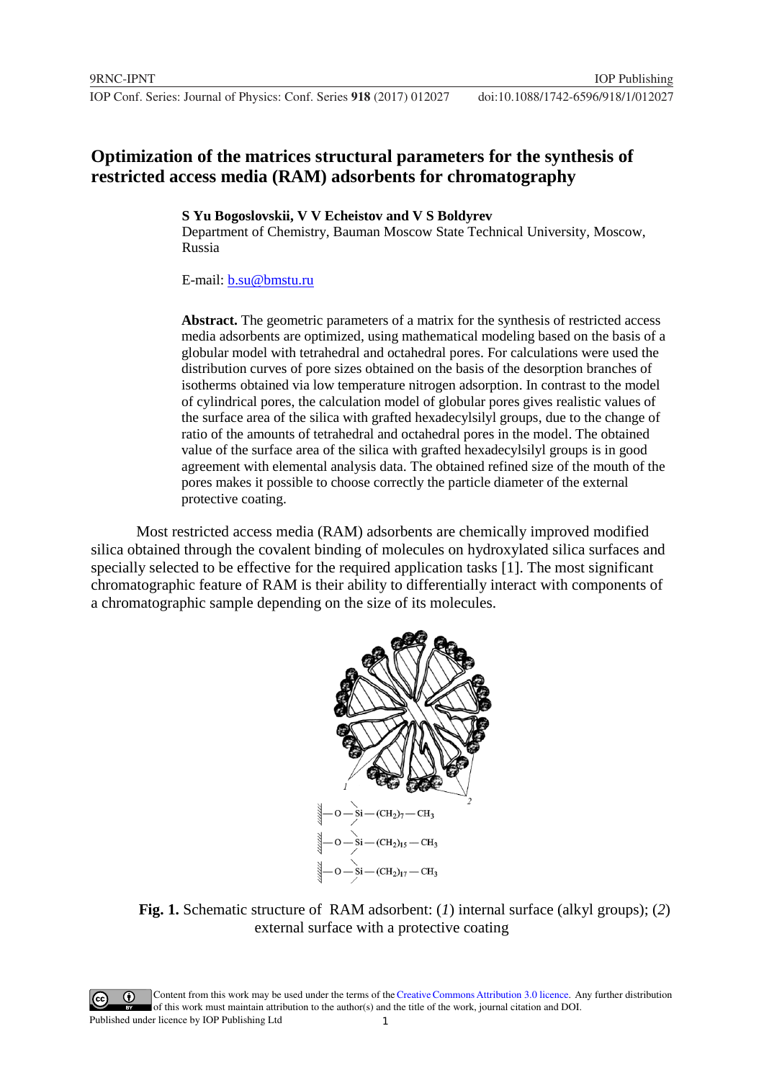## **Optimization of the matrices structural parameters for the synthesis of restricted access media (RAM) adsorbents for chromatography**

### **S Yu Bogoslovskii, V V Echeistov and V S Boldyrev**

Department of Chemistry, Bauman Moscow State Technical University, Moscow, Russia

### E-mail: [b.su@bmstu.ru](mailto:b.su@bmstu.ru)

**Abstract.** The geometric parameters of a matrix for the synthesis of restricted access media adsorbents are optimized, using mathematical modeling based on the basis of a globular model with tetrahedral and octahedral pores. For calculations were used the distribution curves of pore sizes obtained on the basis of the desorption branches of isotherms obtained via low temperature nitrogen adsorption. In contrast to the model of cylindrical pores, the calculation model of globular pores gives realistic values of the surface area of the silica with grafted hexadecylsilyl groups, due to the change of ratio of the amounts of tetrahedral and octahedral pores in the model. The obtained value of the surface area of the silica with grafted hexadecylsilyl groups is in good agreement with elemental analysis data. The obtained refined size of the mouth of the pores makes it possible to choose correctly the particle diameter of the external protective coating.

Most restricted access media (RAM) adsorbents are chemically improved modified silica obtained through the covalent binding of molecules on hydroxylated silica surfaces and specially selected to be effective for the required application tasks [1]. The most significant chromatographic feature of RAM is their ability to differentially interact with components of a chromatographic sample depending on the size of its molecules.



**Fig. 1.** Schematic structure of RAM adsorbent: (*1*) internal surface (alkyl groups); (*2*) external surface with a protective coating

1 Content from this work may be used under the terms of the[Creative Commons Attribution 3.0 licence.](http://creativecommons.org/licenses/by/3.0) Any further distribution of this work must maintain attribution to the author(s) and the title of the work, journal citation and DOI. Published under licence by IOP Publishing Ltd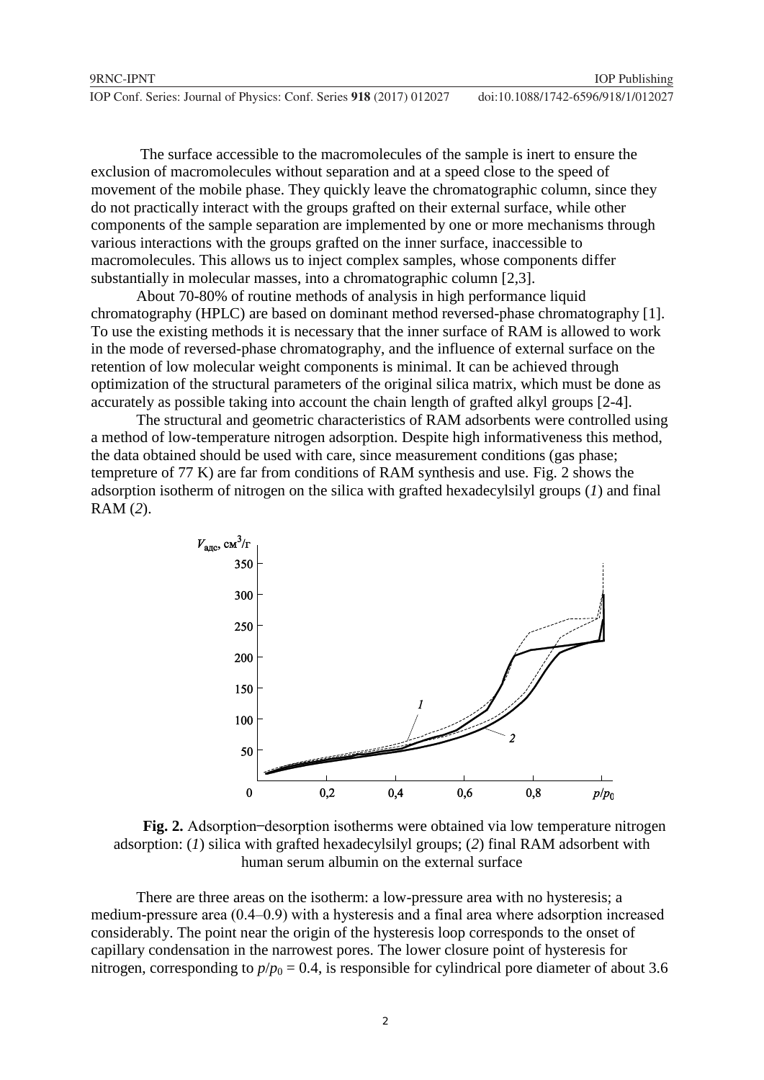| 9RNC-IPNT                                                            | <b>IOP</b> Publishing              |
|----------------------------------------------------------------------|------------------------------------|
| IOP Conf. Series: Journal of Physics: Conf. Series 918 (2017) 012027 | doi:10.1088/1742-6596/918/1/012027 |

The surface accessible to the macromolecules of the sample is inert to ensure the exclusion of macromolecules without separation and at a speed close to the speed of movement of the mobile phase. They quickly leave the chromatographic column, since they do not practically interact with the groups grafted on their external surface, while other components of the sample separation are implemented by one or more mechanisms through various interactions with the groups grafted on the inner surface, inaccessible to macromolecules. This allows us to inject complex samples, whose components differ substantially in molecular masses, into a chromatographic column [2,3].

About 70-80% of routine methods of analysis in high performance liquid chromatography (HPLC) are based on dominant method reversed-phase chromatography [1]. To use the existing methods it is necessary that the inner surface of RAM is allowed to work in the mode of reversed-phase chromatography, and the influence of external surface on the retention of low molecular weight components is minimal. It can be achieved through optimization of the structural parameters of the original silica matrix, which must be done as accurately as possible taking into account the chain length of grafted alkyl groups [2-4].

The structural and geometric characteristics of RAM adsorbents were controlled using a method of low-temperature nitrogen adsorption. Despite high informativeness this method, the data obtained should be used with care, since measurement conditions (gas phase; tempreture of 77 K) are far from conditions of RAM synthesis and use. Fig. 2 shows the adsorption isotherm of nitrogen on the silica with grafted hexadecylsilyl groups (*1*) and final RAM (*2*).



**Fig. 2.** Adsorption-desorption isotherms were obtained via low temperature nitrogen adsorption: (*1*) silica with grafted hexadecylsilyl groups; (*2*) final RAM adsorbent with human serum albumin on the external surface

There are three areas on the isotherm: a low-pressure area with no hysteresis; a medium-pressure area  $(0.4-0.9)$  with a hysteresis and a final area where adsorption increased considerably. The point near the origin of the hysteresis loop corresponds to the onset of capillary condensation in the narrowest pores. The lower closure point of hysteresis for nitrogen, corresponding to  $p/p_0 = 0.4$ , is responsible for cylindrical pore diameter of about 3.6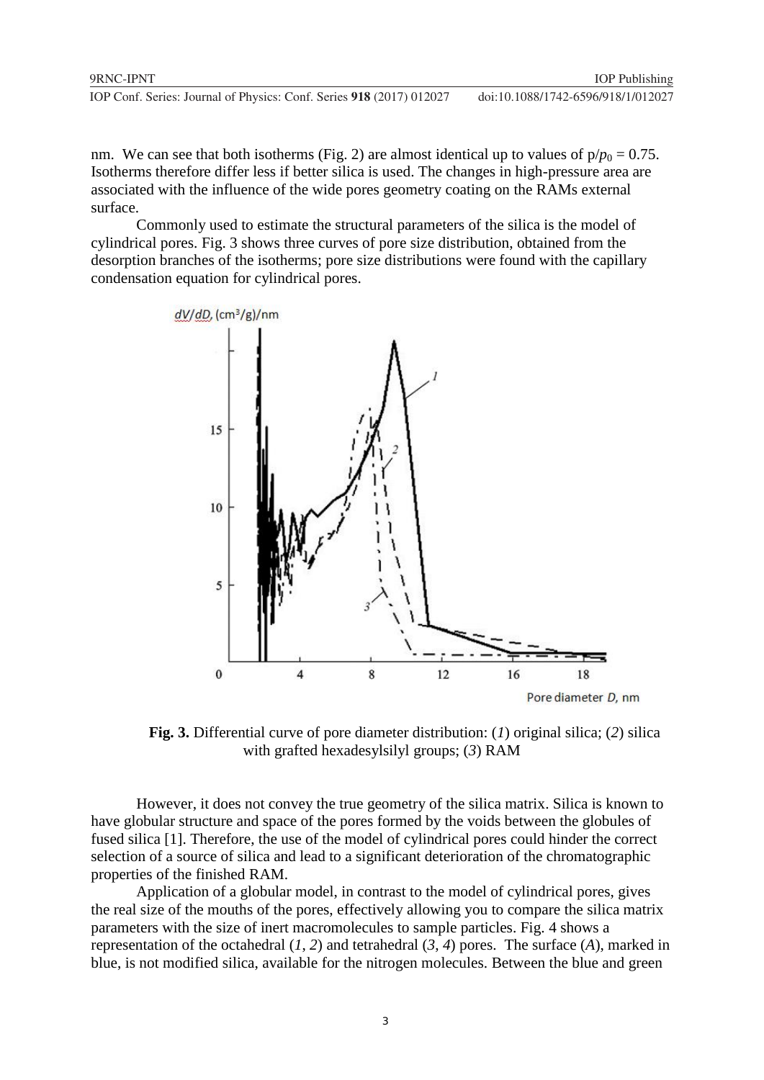**1234567890** IOP Conf. Series: Journal of Physics: Conf. Series **918** (2017) 012027 doi :10.1088/1742-6596/918/1/012027

nm. We can see that both isotherms (Fig. 2) are almost identical up to values of  $p/p_0 = 0.75$ . Isotherms therefore differ less if better silica is used. The changes in high-pressure area are associated with the influence of the wide pores geometry coating on the RAMs external surface.

Commonly used to estimate the structural parameters of the silica is the model of cylindrical pores. Fig. 3 shows three curves of pore size distribution, obtained from the desorption branches of the isotherms; pore size distributions were found with the capillary condensation equation for cylindrical pores.



**Fig. 3.** Differential curve of pore diameter distribution: (*1*) original silica; (*2*) silica with grafted hexadesylsilyl groups; (*3*) RAM

However, it does not convey the true geometry of the silica matrix. Silica is known to have globular structure and space of the pores formed by the voids between the globules of fused silica [1]. Therefore, the use of the model of cylindrical pores could hinder the correct selection of a source of silica and lead to a significant deterioration of the chromatographic properties of the finished RAM.

Application of a globular model, in contrast to the model of cylindrical pores, gives the real size of the mouths of the pores, effectively allowing you to compare the silica matrix parameters with the size of inert macromolecules to sample particles. Fig. 4 shows a representation of the octahedral (*1*, *2*) and tetrahedral (*3*, *4*) pores. The surface (*A*), marked in blue, is not modified silica, available for the nitrogen molecules. Between the blue and green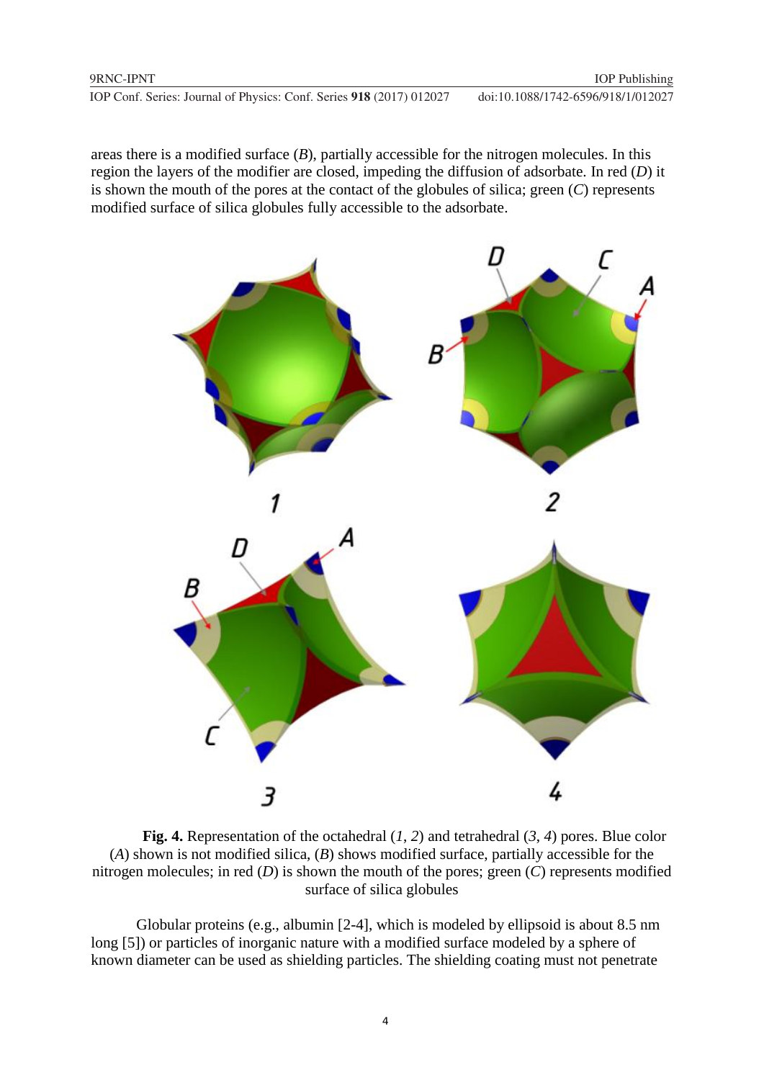**1234567890** IOP Conf. Series: Journal of Physics: Conf. Series **918** (2017) 012027 doi :10.1088/1742-6596/918/1/012027

areas there is a modified surface (*B*), partially accessible for the nitrogen molecules. In this region the layers of the modifier are closed, impeding the diffusion of adsorbate. In red (*D*) it is shown the mouth of the pores at the contact of the globules of silica; green (*C*) represents modified surface of silica globules fully accessible to the adsorbate.



**Fig. 4.** Representation of the octahedral (*1*, *2*) and tetrahedral (*3*, *4*) pores. Blue color (*A*) shown is not modified silica, (*B*) shows modified surface, partially accessible for the nitrogen molecules; in red (*D*) is shown the mouth of the pores; green (*C*) represents modified surface of silica globules

Globular proteins (e.g., albumin [2-4], which is modeled by ellipsoid is about 8.5 nm long [5]) or particles of inorganic nature with a modified surface modeled by a sphere of known diameter can be used as shielding particles. The shielding coating must not penetrate